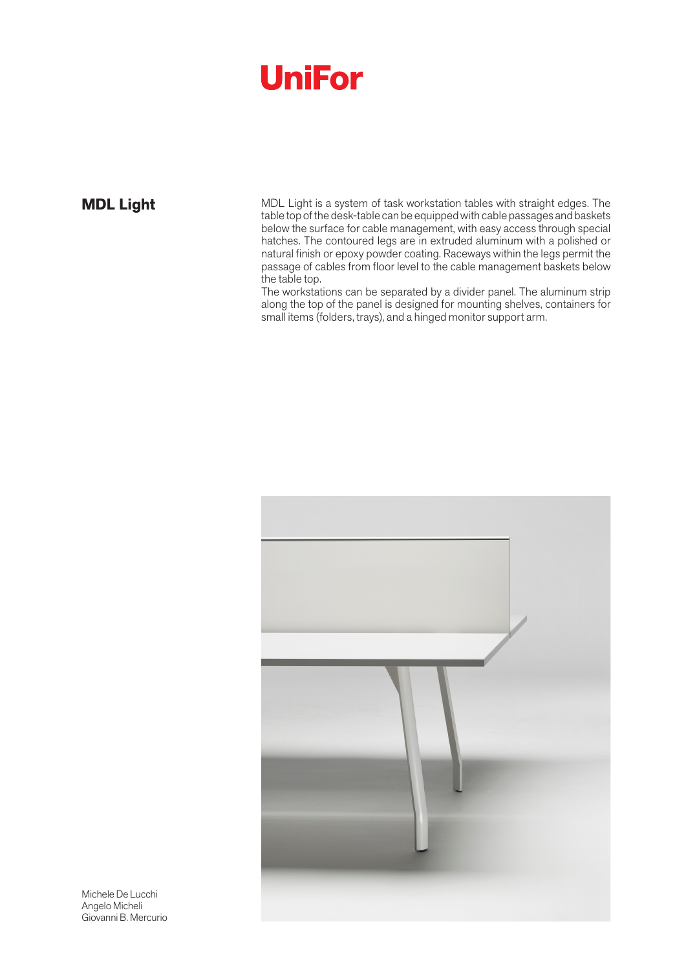# **UniFor**

**MDL Light** MDL Light is a system of task workstation tables with straight edges. The table top of the desk-table can be equipped with cable passages and baskets below the surface for cable management, with easy access through special hatches. The contoured legs are in extruded aluminum with a polished or natural finish or epoxy powder coating. Raceways within the legs permit the passage of cables from floor level to the cable management baskets below the table top.

The workstations can be separated by a divider panel. The aluminum strip along the top of the panel is designed for mounting shelves, containers for small items (folders, trays), and a hinged monitor support arm.



Michele De Lucchi Angelo Micheli Giovanni B. Mercurio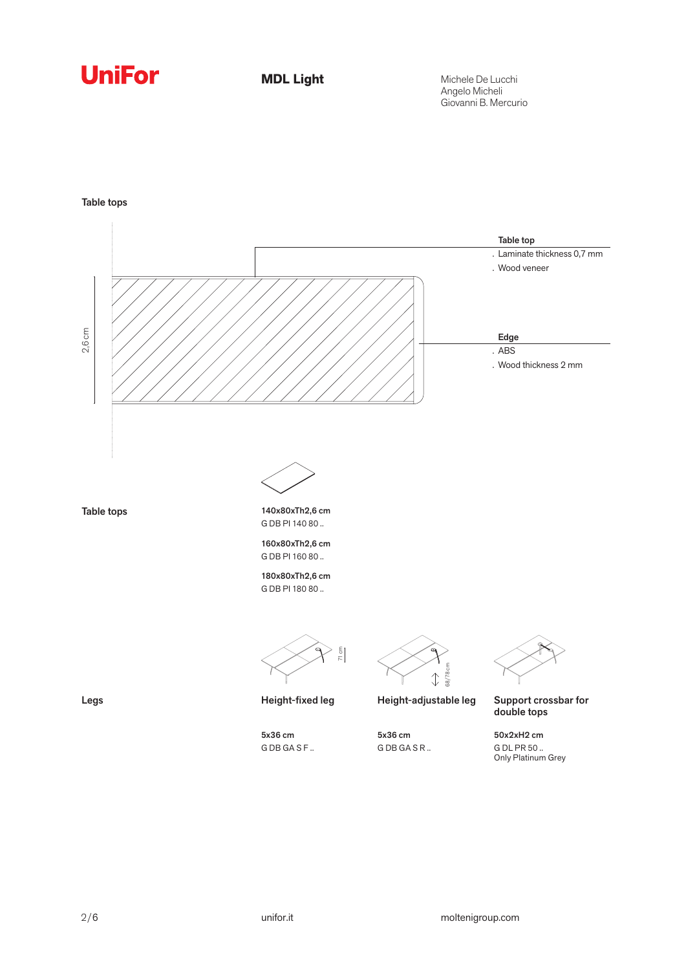## **UniFor**

**MDL Light**

Michele De Lucchi Angelo Micheli Giovanni B. Mercurio

Table tops

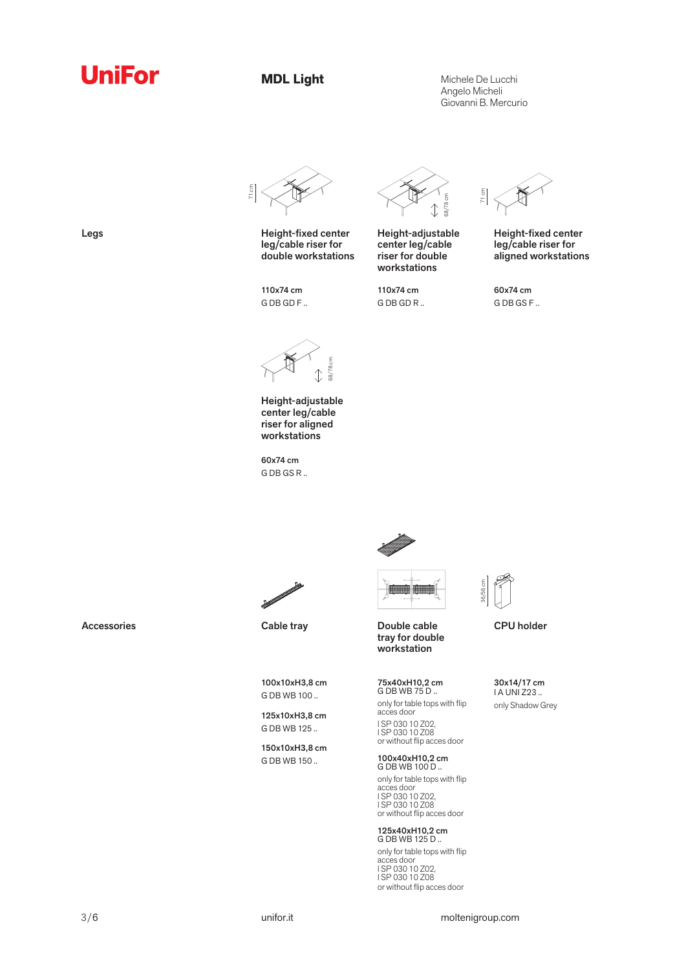## **UniFor**

**MDL Light**

Michele De Lucchi Angelo Micheli Giovanni B. Mercurio



Legs **Height-fixed center** leg/cable riser for double workstations

110x74 cm G DB GD F ..



Height-adjustable center leg/cable riser for double workstations

110x74 cm G DB GD R ..



Height-fixed center leg/cable riser for aligned workstations

60x74 cm G DB GS F ..



Height-adjustable center leg/cable riser for aligned workstations

60x74 cm G DB GS R ..





tray for double workstation

75x40xH10,2 cm G DB WB 75 D .. only for table tops with flip acces door I SP 030 10 Z02, I SP 030 10 Z08 or without flip acces door

100x40xH10,2 cm G DB WB 100 D .. only for table tops with flip acces door I SP 030 10 Z02, I SP 030 10 Z08 or without flip acces door

125x40xH10,2 cm G DB WB 125 D .. only for table tops with flip acces door I SP 030 10 Z02, I SP 030 10 Z08 or without flip acces door



CPU holder

30x14/17 cm I A UNI Z23 .. only Shadow Grey

Accessories Cable tray Cable transported Double cable

100x10xH3,8 cm G DB WB 100 ..

125x10xH3,8 cm G DB WB 125 ..

150x10xH3,8 cm G DB WB 150 ..



### 3/6 unifor.it moltenigroup.com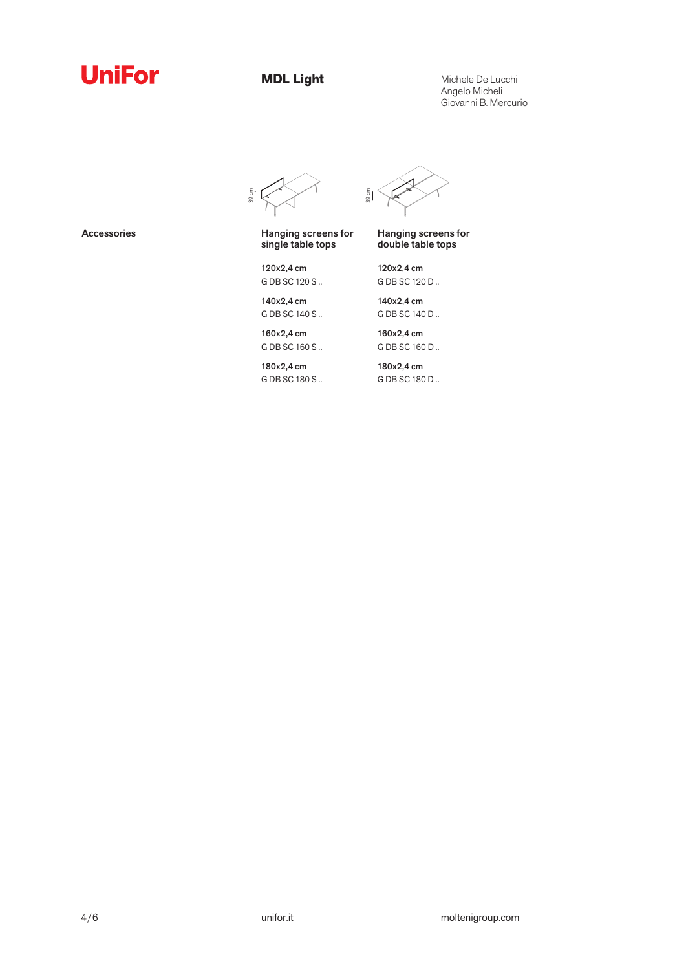

**MDL Light**

Michele De Lucchi Angelo Micheli Giovanni B. Mercurio



120x2,4 cm G DB SC 120 S .. 140x2,4 cm G DB SC 140 S ..

Accessories **Hanging screens** for single table tops

 $\frac{5}{9}$ 

Hanging screens for double table tops

120x2,4 cm G DB SC 120 D ..

140x2,4 cm G DB SC 140 D ..

160x2,4 cm G DB SC 160 S ..

180x2,4 cm G DB SC 180 S .. 160x2,4 cm G DB SC 160 D ..

180x2,4 cm G DB SC 180 D ..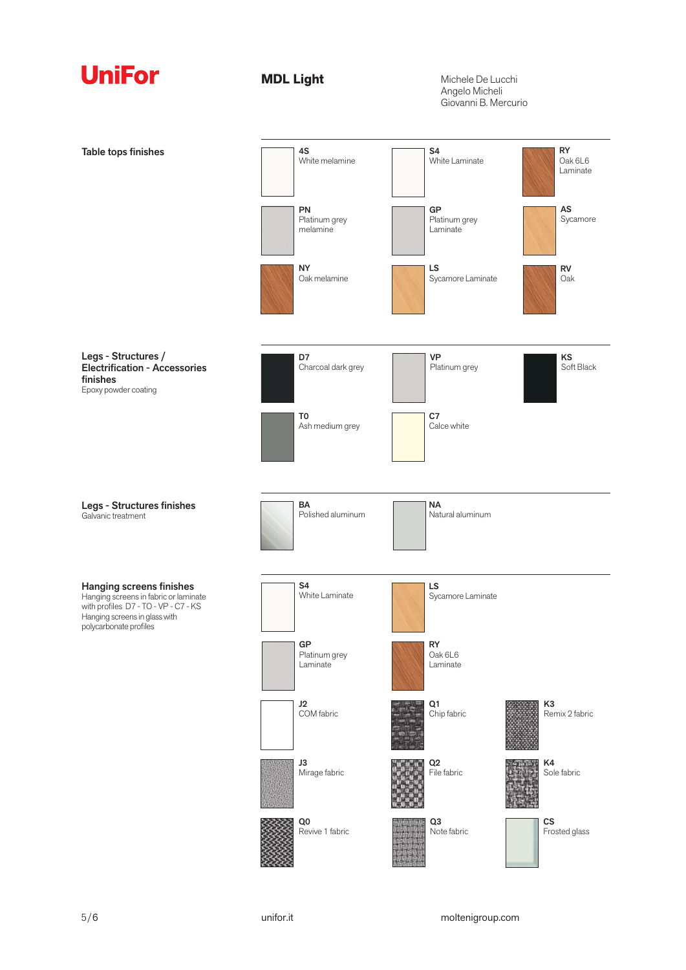

**MDL Light**

Michele De Lucchi Angelo Micheli Giovanni B. Mercurio